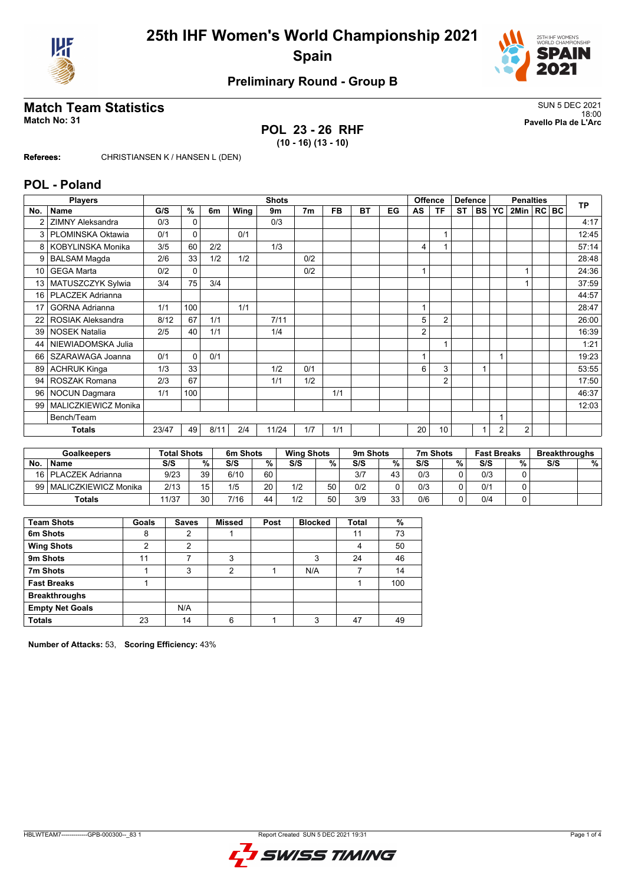



# **Preliminary Round - Group B**

## **Match Team Statistics** SUN 5 DEC 2021

**POL 23 - 26 RHF (10 - 16) (13 - 10)**

18:00 **Match No: 31 Pavello Pla de L'Arc**

**Referees:** CHRISTIANSEN K / HANSEN L (DEN)

#### **POL - Poland**

|     | <b>Players</b>           |       | <b>Shots</b> |      |      |       |                |     |    |    |                | <b>Offence</b><br><b>Defence</b> |           |        | <b>Penalties</b> |                |  |  | <b>TP</b> |
|-----|--------------------------|-------|--------------|------|------|-------|----------------|-----|----|----|----------------|----------------------------------|-----------|--------|------------------|----------------|--|--|-----------|
| No. | <b>Name</b>              | G/S   | %            | 6m   | Wing | 9m    | 7 <sub>m</sub> | FB  | ВT | EG | AS             | ΤF                               | <b>ST</b> | I BS I | <b>YC</b>        | 2Min   RC   BC |  |  |           |
|     | <b>ZIMNY Aleksandra</b>  | 0/3   | $\Omega$     |      |      | 0/3   |                |     |    |    |                |                                  |           |        |                  |                |  |  | 4:17      |
| 3   | PLOMINSKA Oktawia        | 0/1   | 0            |      | 0/1  |       |                |     |    |    |                |                                  |           |        |                  |                |  |  | 12:45     |
| 8   | KOBYLINSKA Monika        | 3/5   | 60           | 2/2  |      | 1/3   |                |     |    |    | 4              |                                  |           |        |                  |                |  |  | 57:14     |
| 9   | <b>BALSAM Magda</b>      | 2/6   | 33           | 1/2  | 1/2  |       | 0/2            |     |    |    |                |                                  |           |        |                  |                |  |  | 28:48     |
| 10  | <b>GEGA Marta</b>        | 0/2   | 0            |      |      |       | 0/2            |     |    |    |                |                                  |           |        |                  |                |  |  | 24:36     |
| 13  | MATUSZCZYK Sylwia        | 3/4   | 75           | 3/4  |      |       |                |     |    |    |                |                                  |           |        |                  |                |  |  | 37:59     |
| 16  | PLACZEK Adrianna         |       |              |      |      |       |                |     |    |    |                |                                  |           |        |                  |                |  |  | 44:57     |
| 17  | <b>GORNA Adrianna</b>    | 1/1   | 100          |      | 1/1  |       |                |     |    |    | $\overline{ }$ |                                  |           |        |                  |                |  |  | 28:47     |
| 22  | <b>ROSIAK Aleksandra</b> | 8/12  | 67           | 1/1  |      | 7/11  |                |     |    |    | 5              | $\overline{2}$                   |           |        |                  |                |  |  | 26:00     |
| 39  | <b>NOSEK Natalia</b>     | 2/5   | 40           | 1/1  |      | 1/4   |                |     |    |    | 2              |                                  |           |        |                  |                |  |  | 16:39     |
| 44  | NIEWIADOMSKA Julia       |       |              |      |      |       |                |     |    |    |                |                                  |           |        |                  |                |  |  | 1:21      |
| 66  | SZARAWAGA Joanna         | 0/1   | $\Omega$     | 0/1  |      |       |                |     |    |    |                |                                  |           |        |                  |                |  |  | 19:23     |
| 89  | <b>ACHRUK Kinga</b>      | 1/3   | 33           |      |      | 1/2   | 0/1            |     |    |    | 6              | 3                                |           |        |                  |                |  |  | 53:55     |
| 94  | <b>ROSZAK Romana</b>     | 2/3   | 67           |      |      | 1/1   | 1/2            |     |    |    |                | $\overline{2}$                   |           |        |                  |                |  |  | 17:50     |
| 96  | <b>NOCUN Dagmara</b>     | 1/1   | 100          |      |      |       |                | 1/1 |    |    |                |                                  |           |        |                  |                |  |  | 46:37     |
| 99  | MALICZKIEWICZ Monika     |       |              |      |      |       |                |     |    |    |                |                                  |           |        |                  |                |  |  | 12:03     |
|     | Bench/Team               |       |              |      |      |       |                |     |    |    |                |                                  |           |        |                  |                |  |  |           |
|     | <b>Totals</b>            | 23/47 | 49           | 8/11 | 2/4  | 11/24 | 1/7            | 1/1 |    |    | 20             | 10                               |           |        | $\overline{2}$   | $\overline{2}$ |  |  |           |

| Goalkeepers |                       | <b>Total Shots</b> |    | 6m Shots |    | <b>Wing Shots</b> |    | 9 <sub>m</sub> Shots |    | 7m Shots |   | <b>Fast Breaks</b> |   | <b>Breakthroughs</b> |   |
|-------------|-----------------------|--------------------|----|----------|----|-------------------|----|----------------------|----|----------|---|--------------------|---|----------------------|---|
| No.         | <b>Name</b>           | S/S                | %  | S/S      | %  | S/S               | %  | S/S                  | %  | S/S      | % | S/S                | % | S/S                  | % |
|             | 16   PLACZEK Adrianna | 9/23               | 39 | 6/10     | 60 |                   |    | 3/7                  | 43 | 0/3      |   | 0/3                |   |                      |   |
| 99 I        | MALICZKIEWICZ Monika  | 2/13               |    | 1/5      | 20 | 1/2               | 50 | 0/2                  | ۵  | 0/3      |   | 0/1                |   |                      |   |
|             | Totals                | 11/37              | 30 | 7/16     | 44 | 1/2               | 50 | 3/9                  | 33 | 0/6      |   | 0/4                |   |                      |   |

| <b>Team Shots</b>      | Goals | <b>Saves</b> | <b>Missed</b> | Post | <b>Blocked</b> | Total | %   |
|------------------------|-------|--------------|---------------|------|----------------|-------|-----|
| 6m Shots               | 8     | 2            |               |      |                | 11    | 73  |
| <b>Wing Shots</b>      | າ     | 2            |               |      |                | 4     | 50  |
| 9m Shots               | 11    |              | 3             |      | 3              | 24    | 46  |
| 7m Shots               |       | 3            | 2             |      | N/A            |       | 14  |
| <b>Fast Breaks</b>     |       |              |               |      |                |       | 100 |
| <b>Breakthroughs</b>   |       |              |               |      |                |       |     |
| <b>Empty Net Goals</b> |       | N/A          |               |      |                |       |     |
| <b>Totals</b>          | 23    | 14           | 6             |      | 3              | 47    | 49  |

**Number of Attacks:** 53, **Scoring Efficiency:** 43%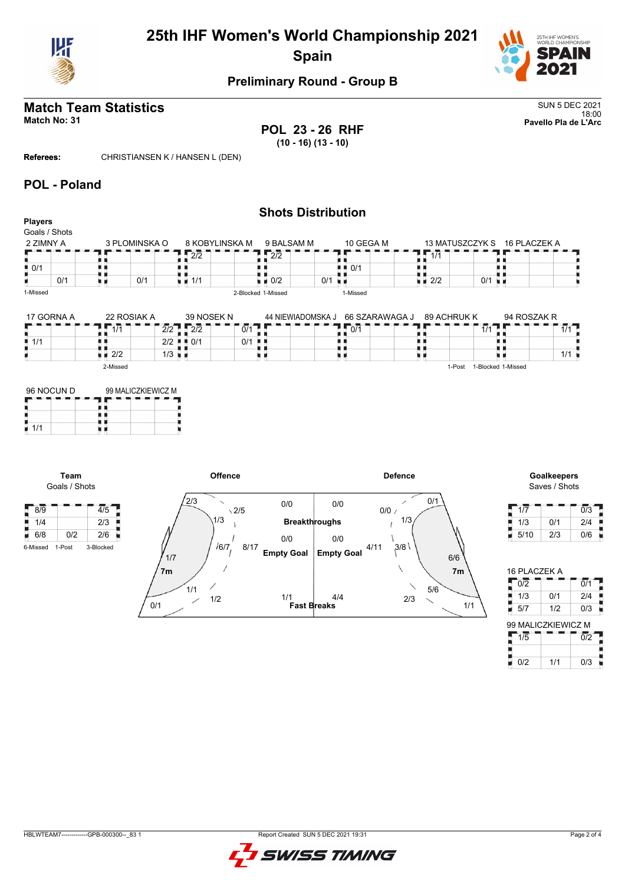

# **25th IHF Women's World Championship 2021 Spain**



## **Preliminary Round - Group B**

# **Match Team Statistics** SUN 5 DEC 2021

**POL 23 - 26 RHF (10 - 16) (13 - 10)**

**Shots Distribution**

18:00 **Match No: 31 Pavello Pla de L'Arc**

**Referees:** CHRISTIANSEN K / HANSEN L (DEN)

#### **POL - Poland**

| <b>Players</b><br>Goals / Shots |     |                    |                      |                                         |                                   |                                        |                 |                    |              |
|---------------------------------|-----|--------------------|----------------------|-----------------------------------------|-----------------------------------|----------------------------------------|-----------------|--------------------|--------------|
| 2 ZIMNY A                       |     | 3 PLOMINSKA O      |                      | 8 KOBYLINSKA M                          | 9 BALSAM M                        | 10 GEGA M                              | 13 MATUSZCZYK S |                    | 16 PLACZEK A |
|                                 |     |                    |                      | 2/2                                     | $\sqrt{2/2}$                      |                                        | 1/1             |                    |              |
| $\blacksquare$ 0/1              |     |                    |                      |                                         |                                   | $\blacksquare$ $\blacksquare$ 0/1      |                 |                    |              |
|                                 | 0/1 | ı r                | 0/1                  | $\blacksquare$ 1/1                      | $\blacksquare$ $\blacksquare$ 0/2 | 0/1<br>n e                             | 2/2<br>U 11     | 0/1<br>ХH          |              |
| 1-Missed                        |     |                    |                      |                                         | 2-Blocked 1-Missed                | 1-Missed                               |                 |                    |              |
| 17 GORNA A                      |     | 22 ROSIAK A        |                      | 39 NOSEK N                              |                                   | 44 NIEWIADOMSKA J<br>66 SZARAWAGA J    | 89 ACHRUK K     |                    | 94 ROSZAK R  |
|                                 |     | 1/1                |                      | $2/2$ $2/2$                             | $\overline{0/1}$                  | $\mathbf{L}$ , $\mathbf{0}/\mathbf{1}$ |                 | $\overline{1/1}$   | $1/1$ L      |
| 1/1                             |     |                    |                      | $2/2$ $\blacksquare$ $\blacksquare$ 0/1 | 0/1                               |                                        |                 |                    |              |
|                                 |     | $\blacksquare$ 2/2 | $1/3$ $\blacksquare$ |                                         | . .                               | u n                                    |                 |                    | 1/1          |
|                                 |     | 2-Missed           |                      |                                         |                                   |                                        | 1-Post          | 1-Blocked 1-Missed |              |

| 96 NOCUN D | 99 MALICZKIEWICZ M |  |  |  |  |  |  |  |
|------------|--------------------|--|--|--|--|--|--|--|
|            |                    |  |  |  |  |  |  |  |
|            |                    |  |  |  |  |  |  |  |
| 1/1        |                    |  |  |  |  |  |  |  |

**Team** Goals / Shots



Saves / Shots

| 1/7  |     | 0/3 |
|------|-----|-----|
| 1/3  | 0/1 | 2/4 |
| 5/10 | 2/3 | 0/6 |

| 16 PLACZEK A       |     |                  |
|--------------------|-----|------------------|
| 0/2                |     | 0/1              |
| 1/3                | 0/1 | 2/4              |
| 5/7                | 1/2 | 0/3              |
| 99 MALICZKIEWICZ M |     |                  |
| 1/5                |     | $\overline{0/2}$ |
|                    |     |                  |
|                    |     |                  |

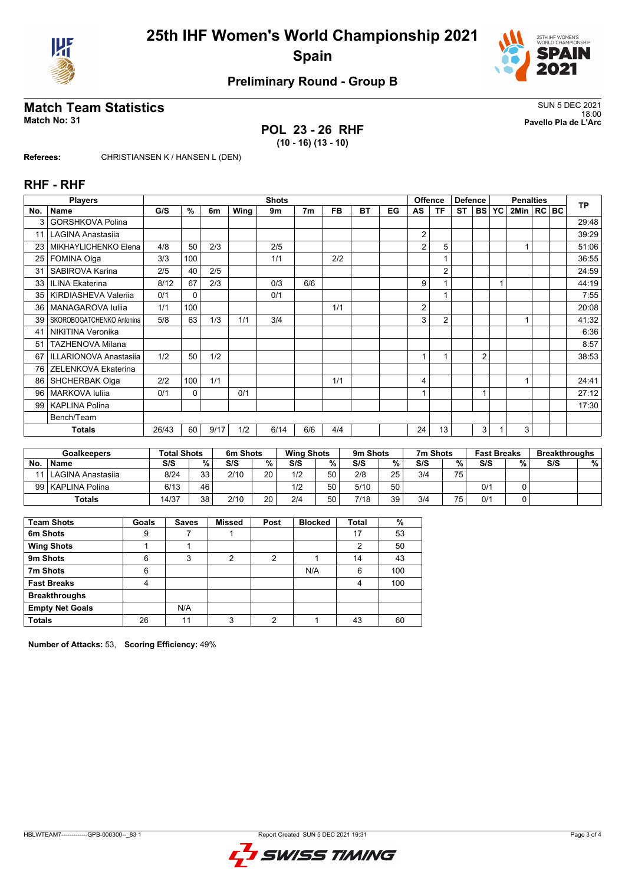



# **Preliminary Round - Group B**

## **Match Team Statistics** SUN 5 DEC 2021

**POL 23 - 26 RHF (10 - 16) (13 - 10)**

18:00 **Match No: 31 Pavello Pla de L'Arc**

**Referees:** CHRISTIANSEN K / HANSEN L (DEN)

#### **RHF - RHF**

|                 | <b>Players</b>            |       | <b>Shots</b> |      |      |      |                |           |           |    |                | Offence<br><b>Defence</b> |           |                | <b>Penalties</b> |                |  |  | <b>TP</b> |
|-----------------|---------------------------|-------|--------------|------|------|------|----------------|-----------|-----------|----|----------------|---------------------------|-----------|----------------|------------------|----------------|--|--|-----------|
| No.             | <b>Name</b>               | G/S   | %            | 6m   | Wing | 9m   | 7 <sub>m</sub> | <b>FB</b> | <b>BT</b> | EG | AS             | <b>TF</b>                 | <b>ST</b> | <b>BS</b>      | <b>YC</b>        | 2Min   RC   BC |  |  |           |
| 3               | <b>GORSHKOVA Polina</b>   |       |              |      |      |      |                |           |           |    |                |                           |           |                |                  |                |  |  | 29:48     |
| 11              | <b>LAGINA Anastasija</b>  |       |              |      |      |      |                |           |           |    | 2              |                           |           |                |                  |                |  |  | 39:29     |
| 23              | MIKHAYLICHENKO Elena      | 4/8   | 50           | 2/3  |      | 2/5  |                |           |           |    | $\overline{2}$ | 5                         |           |                |                  |                |  |  | 51:06     |
| 25              | FOMINA Olga               | 3/3   | 100          |      |      | 1/1  |                | 2/2       |           |    |                |                           |           |                |                  |                |  |  | 36:55     |
| 31              | SABIROVA Karina           | 2/5   | 40           | 2/5  |      |      |                |           |           |    |                | $\overline{2}$            |           |                |                  |                |  |  | 24:59     |
| 33              | <b>ILINA Ekaterina</b>    | 8/12  | 67           | 2/3  |      | 0/3  | 6/6            |           |           |    | 9              |                           |           |                |                  |                |  |  | 44:19     |
| 35 <sub>1</sub> | KIRDIASHEVA Valeriia      | 0/1   | $\mathbf{0}$ |      |      | 0/1  |                |           |           |    |                |                           |           |                |                  |                |  |  | 7:55      |
| 36 <sup>1</sup> | MANAGAROVA Iuliia         | 1/1   | 100          |      |      |      |                | 1/1       |           |    | 2              |                           |           |                |                  |                |  |  | 20:08     |
| 39              | SKOROBOGATCHENKO Antonina | 5/8   | 63           | 1/3  | 1/1  | 3/4  |                |           |           |    | 3              | $\overline{2}$            |           |                |                  |                |  |  | 41:32     |
| 41              | <b>NIKITINA Veronika</b>  |       |              |      |      |      |                |           |           |    |                |                           |           |                |                  |                |  |  | 6:36      |
| 51              | <b>TAZHENOVA Milana</b>   |       |              |      |      |      |                |           |           |    |                |                           |           |                |                  |                |  |  | 8:57      |
| 67              | ILLARIONOVA Anastasiia    | 1/2   | 50           | 1/2  |      |      |                |           |           |    |                |                           |           | $\overline{2}$ |                  |                |  |  | 38:53     |
| 76              | ZELENKOVA Ekaterina       |       |              |      |      |      |                |           |           |    |                |                           |           |                |                  |                |  |  |           |
| 86              | <b>SHCHERBAK Olga</b>     | 2/2   | 100          | 1/1  |      |      |                | 1/1       |           |    | 4              |                           |           |                |                  |                |  |  | 24:41     |
| 96              | <b>MARKOVA Iuliia</b>     | 0/1   | 0            |      | 0/1  |      |                |           |           |    |                |                           |           |                |                  |                |  |  | 27:12     |
| 99              | <b>KAPLINA Polina</b>     |       |              |      |      |      |                |           |           |    |                |                           |           |                |                  |                |  |  | 17:30     |
|                 | Bench/Team                |       |              |      |      |      |                |           |           |    |                |                           |           |                |                  |                |  |  |           |
|                 | <b>Totals</b>             | 26/43 | 60           | 9/17 | 1/2  | 6/14 | 6/6            | 4/4       |           |    | 24             | 13                        |           | 3              |                  | 3              |  |  |           |

| <b>Goalkeepers</b> |                        | <b>Total Shots</b> |    | 6m Shots |    | <b>Wing Shots</b> |    | 9m Shots |      | 7m Shots |     | <b>Fast Breaks</b> |   | <b>Breakthroughs</b> |   |
|--------------------|------------------------|--------------------|----|----------|----|-------------------|----|----------|------|----------|-----|--------------------|---|----------------------|---|
| <b>No</b>          | <b>Name</b>            | S/S                | %  | S/S      | %  | S/S               | %. | S/S      | $\%$ | S/S      | %   | S/S                | % | S/S                  | % |
|                    | 11   LAGINA Anastasija | 8/24               | 33 | 2/10     | 20 | 1/2               | 50 | 2/8      | 25   | 3/4      | 75. |                    |   |                      |   |
|                    | 99   KAPLINA Polina    | 6/13               | 46 |          |    | 1/2               | 50 | 5/10     | 50   |          |     | 0/1                |   |                      |   |
|                    | <b>Totals</b>          | 14/37              | 38 | 2/10     | 20 | 2/4               | 50 | 7/18     | 39   | 3/4      | 75  | 0/1                |   |                      |   |

| <b>Team Shots</b>      | Goals | <b>Saves</b> | <b>Missed</b> | Post | <b>Blocked</b> | <b>Total</b> | %   |
|------------------------|-------|--------------|---------------|------|----------------|--------------|-----|
| 6m Shots               | 9     |              |               |      |                | 17           | 53  |
| <b>Wing Shots</b>      |       |              |               |      |                | 2            | 50  |
| 9m Shots               | 6     | 3            | 2             | 2    |                | 14           | 43  |
| 7m Shots               | 6     |              |               |      | N/A            | 6            | 100 |
| <b>Fast Breaks</b>     | 4     |              |               |      |                | 4            | 100 |
| <b>Breakthroughs</b>   |       |              |               |      |                |              |     |
| <b>Empty Net Goals</b> |       | N/A          |               |      |                |              |     |
| <b>Totals</b>          | 26    | 11           | 3             | c    |                | 43           | 60  |

**Number of Attacks:** 53, **Scoring Efficiency:** 49%